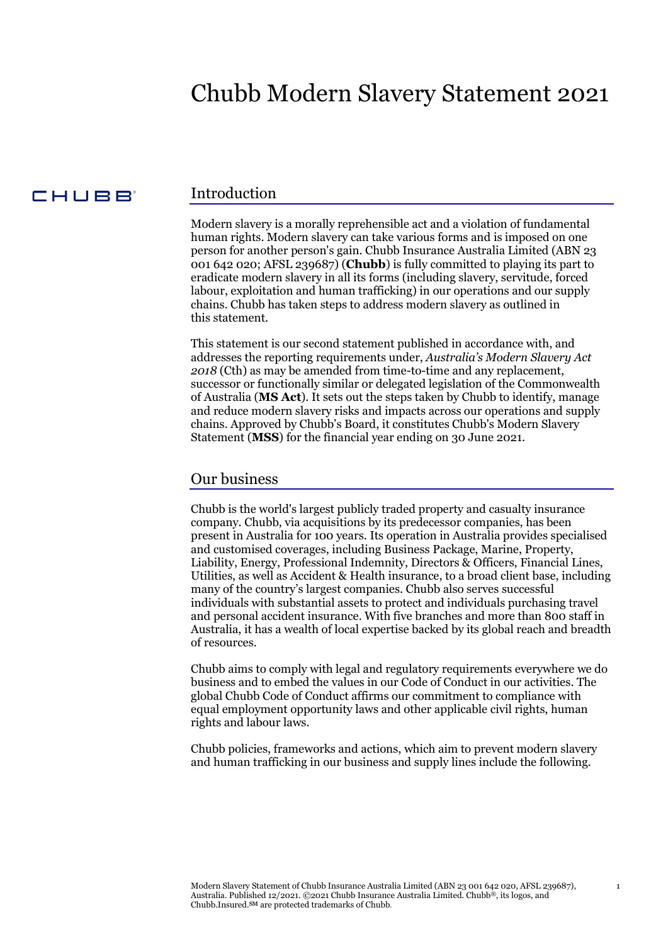## Chubb Modern Slavery Statement 2021

#### CHUBB<sup>®</sup>

#### Introduction

Modern slavery is a morally reprehensible act and a violation of fundamental human rights. Modern slavery can take various forms and is imposed on one person for another person's gain. Chubb Insurance Australia Limited (ABN 23 001 642 020; AFSL 239687) (**Chubb**) is fully committed to playing its part to eradicate modern slavery in all its forms (including slavery, servitude, forced labour, exploitation and human trafficking) in our operations and our supply chains. Chubb has taken steps to address modern slavery as outlined in this statement.

This statement is our second statement published in accordance with, and addresses the reporting requirements under, *Australia's Modern Slavery Act 2018* (Cth) as may be amended from time-to-time and any replacement, successor or functionally similar or delegated legislation of the Commonwealth of Australia (**MS Act**). It sets out the steps taken by Chubb to identify, manage and reduce modern slavery risks and impacts across our operations and supply chains. Approved by Chubb's Board, it constitutes Chubb's Modern Slavery Statement (**MSS**) for the financial year ending on 30 June 2021.

#### Our business

Chubb is the world's largest publicly traded property and casualty insurance company. Chubb, via acquisitions by its predecessor companies, has been present in Australia for 100 years. Its operation in Australia provides specialised and customised coverages, including Business Package, Marine, Property, Liability, Energy, Professional Indemnity, Directors & Officers, Financial Lines, Utilities, as well as Accident & Health insurance, to a broad client base, including many of the country's largest companies. Chubb also serves successful individuals with substantial assets to protect and individuals purchasing travel and personal accident insurance. With five branches and more than 800 staff in Australia, it has a wealth of local expertise backed by its global reach and breadth of resources.

Chubb aims to comply with legal and regulatory requirements everywhere we do business and to embed the values in our Code of Conduct in our activities. The global Chubb Code of Conduct affirms our commitment to compliance with equal employment opportunity laws and other applicable civil rights, human rights and labour laws.

Chubb policies, frameworks and actions, which aim to prevent modern slavery and human trafficking in our business and supply lines include the following.

1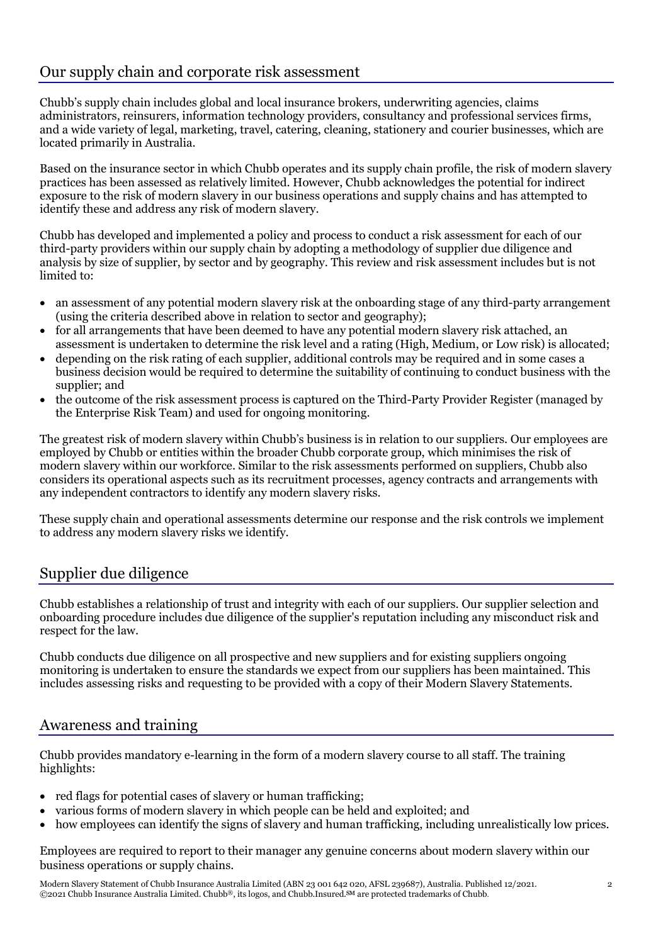## Our supply chain and corporate risk assessment

Chubb's supply chain includes global and local insurance brokers, underwriting agencies, claims administrators, reinsurers, information technology providers, consultancy and professional services firms, and a wide variety of legal, marketing, travel, catering, cleaning, stationery and courier businesses, which are located primarily in Australia.

Based on the insurance sector in which Chubb operates and its supply chain profile, the risk of modern slavery practices has been assessed as relatively limited. However, Chubb acknowledges the potential for indirect exposure to the risk of modern slavery in our business operations and supply chains and has attempted to identify these and address any risk of modern slavery.

Chubb has developed and implemented a policy and process to conduct a risk assessment for each of our third-party providers within our supply chain by adopting a methodology of supplier due diligence and analysis by size of supplier, by sector and by geography. This review and risk assessment includes but is not limited to:

- an assessment of any potential modern slavery risk at the onboarding stage of any third-party arrangement (using the criteria described above in relation to sector and geography);
- for all arrangements that have been deemed to have any potential modern slavery risk attached, an assessment is undertaken to determine the risk level and a rating (High, Medium, or Low risk) is allocated;
- depending on the risk rating of each supplier, additional controls may be required and in some cases a business decision would be required to determine the suitability of continuing to conduct business with the supplier; and
- the outcome of the risk assessment process is captured on the Third-Party Provider Register (managed by the Enterprise Risk Team) and used for ongoing monitoring.

The greatest risk of modern slavery within Chubb's business is in relation to our suppliers. Our employees are employed by Chubb or entities within the broader Chubb corporate group, which minimises the risk of modern slavery within our workforce. Similar to the risk assessments performed on suppliers, Chubb also considers its operational aspects such as its recruitment processes, agency contracts and arrangements with any independent contractors to identify any modern slavery risks.

These supply chain and operational assessments determine our response and the risk controls we implement to address any modern slavery risks we identify.

## Supplier due diligence

Chubb establishes a relationship of trust and integrity with each of our suppliers. Our supplier selection and onboarding procedure includes due diligence of the supplier's reputation including any misconduct risk and respect for the law.

Chubb conducts due diligence on all prospective and new suppliers and for existing suppliers ongoing monitoring is undertaken to ensure the standards we expect from our suppliers has been maintained. This includes assessing risks and requesting to be provided with a copy of their Modern Slavery Statements.

## Awareness and training

Chubb provides mandatory e-learning in the form of a modern slavery course to all staff. The training highlights:

- red flags for potential cases of slavery or human trafficking;
- various forms of modern slavery in which people can be held and exploited; and
- how employees can identify the signs of slavery and human trafficking, including unrealistically low prices.

Employees are required to report to their manager any genuine concerns about modern slavery within our business operations or supply chains.